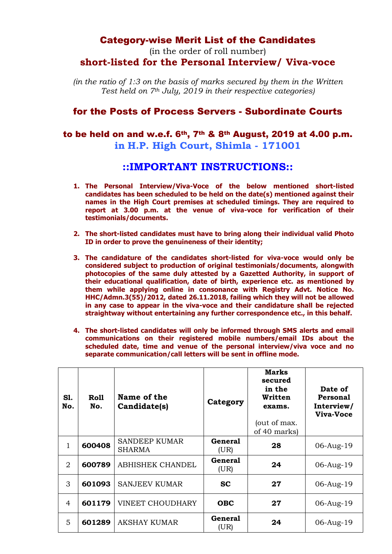## Category-wise Merit List of the Candidates

(in the order of roll number) **short-listed for the Personal Interview/ Viva-voce** 

*(in the ratio of 1:3 on the basis of marks secured by them in the Written Test held on 7th July, 2019 in their respective categories)*

## for the Posts of Process Servers - Subordinate Courts

## to be held on and w.e.f. 6th, 7th & 8th August, 2019 at 4.00 p.m. **in H.P. High Court, Shimla - 171001**

## **::IMPORTANT INSTRUCTIONS::**

- **1. The Personal Interview/Viva-Voce of the below mentioned short-listed candidates has been scheduled to be held on the date(s) mentioned against their names in the High Court premises at scheduled timings. They are required to report at 3.00 p.m. at the venue of viva-voce for verification of their testimonials/documents.**
- **2. The short-listed candidates must have to bring along their individual valid Photo ID in order to prove the genuineness of their identity;**
- **3. The candidature of the candidates short-listed for viva-voce would only be considered subject to production of original testimonials/documents, alongwith photocopies of the same duly attested by a Gazetted Authority, in support of their educational qualification, date of birth, experience etc. as mentioned by them while applying online in consonance with Registry Advt. Notice No. HHC/Admn.3(55)/2012, dated 26.11.2018, failing which they will not be allowed in any case to appear in the viva-voce and their candidature shall be rejected straightway without entertaining any further correspondence etc., in this behalf.**
- **4. The short-listed candidates will only be informed through SMS alerts and email communications on their registered mobile numbers/email IDs about the scheduled date, time and venue of the personal interview/viva voce and no separate communication/call letters will be sent in offline mode.**

| S1.<br>No. | Roll<br>No. | Name of the<br>Candidate(s)           | Category               | Marks<br>secured<br>in the<br>Written<br>exams.<br>(out of max.<br>of 40 marks) | Date of<br>Personal<br>Interview/<br>Viva-Voce |
|------------|-------------|---------------------------------------|------------------------|---------------------------------------------------------------------------------|------------------------------------------------|
| 1          | 600408      | <b>SANDEEP KUMAR</b><br><b>SHARMA</b> | <b>General</b><br>(UR) | 28                                                                              | 06-Aug-19                                      |
| 2          | 600789      | <b>ABHISHEK CHANDEL</b>               | <b>General</b><br>(UR) | 24                                                                              | 06-Aug-19                                      |
| 3          | 601093      | <b>SANJEEV KUMAR</b>                  | <b>SC</b>              | 27                                                                              | 06-Aug-19                                      |
| 4          | 601179      | <b>VINEET CHOUDHARY</b>               | <b>OBC</b>             | 27                                                                              | 06-Aug-19                                      |
| 5          | 601289      | <b>AKSHAY KUMAR</b>                   | General<br>(UR)        | 24                                                                              | 06-Aug-19                                      |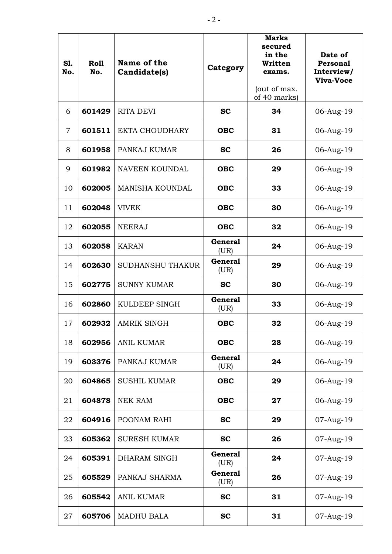| S1.<br>No.     | <b>Roll</b><br>No. | Name of the<br>Candidate(s) | Category               | <b>Marks</b><br>secured<br>in the<br>Written<br>exams.<br>(out of max.<br>of 40 marks) | Date of<br>Personal<br>Interview/<br><b>Viva-Voce</b> |
|----------------|--------------------|-----------------------------|------------------------|----------------------------------------------------------------------------------------|-------------------------------------------------------|
| 6              | 601429             | <b>RITA DEVI</b>            | <b>SC</b>              | 34                                                                                     | 06-Aug-19                                             |
| $\overline{7}$ | 601511             | <b>EKTA CHOUDHARY</b>       | <b>OBC</b>             | 31                                                                                     | 06-Aug-19                                             |
| 8              | 601958             | PANKAJ KUMAR                | <b>SC</b>              | 26                                                                                     | 06-Aug-19                                             |
| 9              | 601982             | NAVEEN KOUNDAL              | <b>OBC</b>             | 29                                                                                     | 06-Aug-19                                             |
| 10             | 602005             | <b>MANISHA KOUNDAL</b>      | <b>OBC</b>             | 33                                                                                     | 06-Aug-19                                             |
| 11             | 602048             | <b>VIVEK</b>                | <b>OBC</b>             | 30                                                                                     | 06-Aug-19                                             |
| 12             | 602055             | <b>NEERAJ</b>               | <b>OBC</b>             | 32                                                                                     | 06-Aug-19                                             |
| 13             | 602058             | <b>KARAN</b>                | <b>General</b><br>(UR) | 24                                                                                     | 06-Aug-19                                             |
| 14             | 602630             | <b>SUDHANSHU THAKUR</b>     | <b>General</b><br>(UR) | 29                                                                                     | 06-Aug-19                                             |
| 15             | 602775             | <b>SUNNY KUMAR</b>          | <b>SC</b>              | 30                                                                                     | 06-Aug-19                                             |
| 16             | 602860             | KULDEEP SINGH               | <b>General</b><br>(UR) | 33                                                                                     | 06-Aug-19                                             |
| 17             | 602932             | <b>AMRIK SINGH</b>          | <b>OBC</b>             | 32                                                                                     | 06-Aug-19                                             |
| 18             | 602956             | <b>ANIL KUMAR</b>           | <b>OBC</b>             | 28                                                                                     | 06-Aug-19                                             |
| 19             | 603376             | PANKAJ KUMAR                | <b>General</b><br>(UR) | 24                                                                                     | 06-Aug-19                                             |
| 20             | 604865             | <b>SUSHIL KUMAR</b>         | <b>OBC</b>             | 29                                                                                     | 06-Aug-19                                             |
| 21             | 604878             | <b>NEK RAM</b>              | <b>OBC</b>             | 27                                                                                     | 06-Aug-19                                             |
| 22             | 604916             | POONAM RAHI                 | <b>SC</b>              | 29                                                                                     | 07-Aug-19                                             |
| 23             | 605362             | <b>SURESH KUMAR</b>         | <b>SC</b>              | 26                                                                                     | 07-Aug-19                                             |
| 24             | 605391             | DHARAM SINGH                | <b>General</b><br>(UR) | 24                                                                                     | 07-Aug-19                                             |
| 25             | 605529             | PANKAJ SHARMA               | <b>General</b><br>(UR) | 26                                                                                     | 07-Aug-19                                             |
| 26             | 605542             | <b>ANIL KUMAR</b>           | <b>SC</b>              | 31                                                                                     | 07-Aug-19                                             |
| 27             | 605706             | <b>MADHU BALA</b>           | <b>SC</b>              | 31                                                                                     | 07-Aug-19                                             |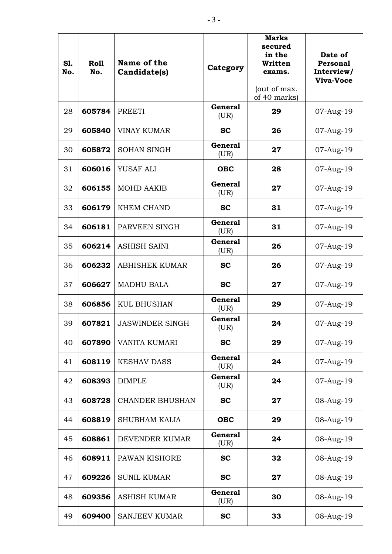| S1.<br>No. | Roll<br>No. | Name of the<br>Candidate(s) | Category               | <b>Marks</b><br>secured<br>in the<br>Written<br>exams.<br>(out of max.<br>of 40 marks) | Date of<br>Personal<br>Interview/<br>Viva-Voce |
|------------|-------------|-----------------------------|------------------------|----------------------------------------------------------------------------------------|------------------------------------------------|
| 28         | 605784      | <b>PREETI</b>               | <b>General</b><br>(UR) | 29                                                                                     | 07-Aug-19                                      |
| 29         | 605840      | <b>VINAY KUMAR</b>          | <b>SC</b>              | 26                                                                                     | 07-Aug-19                                      |
| 30         | 605872      | <b>SOHAN SINGH</b>          | <b>General</b><br>(UR) | 27                                                                                     | 07-Aug-19                                      |
| 31         | 606016      | YUSAF ALI                   | <b>OBC</b>             | 28                                                                                     | 07-Aug-19                                      |
| 32         | 606155      | <b>MOHD AAKIB</b>           | <b>General</b><br>(UR) | 27                                                                                     | 07-Aug-19                                      |
| 33         | 606179      | <b>KHEM CHAND</b>           | <b>SC</b>              | 31                                                                                     | 07-Aug-19                                      |
| 34         | 606181      | PARVEEN SINGH               | <b>General</b><br>(UR) | 31                                                                                     | 07-Aug-19                                      |
| 35         | 606214      | <b>ASHISH SAINI</b>         | <b>General</b><br>(UR) | 26                                                                                     | 07-Aug-19                                      |
| 36         | 606232      | <b>ABHISHEK KUMAR</b>       | <b>SC</b>              | 26                                                                                     | 07-Aug-19                                      |
| 37         | 606627      | <b>MADHU BALA</b>           | <b>SC</b>              | 27                                                                                     | 07-Aug-19                                      |
| 38         | 606856      | <b>KUL BHUSHAN</b>          | <b>General</b><br>(UR) | 29                                                                                     | 07-Aug-19                                      |
| 39         | 607821      | <b>JASWINDER SINGH</b>      | <b>General</b><br>(UR) | 24                                                                                     | 07-Aug-19                                      |
| 40         | 607890      | VANITA KUMARI               | <b>SC</b>              | 29                                                                                     | 07-Aug-19                                      |
| 41         | 608119      | <b>KESHAV DASS</b>          | <b>General</b><br>(UR) | 24                                                                                     | 07-Aug-19                                      |
| 42         | 608393      | <b>DIMPLE</b>               | <b>General</b><br>(UR) | 24                                                                                     | 07-Aug-19                                      |
| 43         | 608728      | <b>CHANDER BHUSHAN</b>      | <b>SC</b>              | 27                                                                                     | 08-Aug-19                                      |
| 44         | 608819      | <b>SHUBHAM KALIA</b>        | <b>OBC</b>             | 29                                                                                     | 08-Aug-19                                      |
| 45         | 608861      | DEVENDER KUMAR              | <b>General</b><br>(UR) | 24                                                                                     | 08-Aug-19                                      |
| 46         | 608911      | PAWAN KISHORE               | <b>SC</b>              | 32                                                                                     | 08-Aug-19                                      |
| 47         | 609226      | <b>SUNIL KUMAR</b>          | <b>SC</b>              | 27                                                                                     | 08-Aug-19                                      |
| 48         | 609356      | <b>ASHISH KUMAR</b>         | <b>General</b><br>(UR) | 30                                                                                     | 08-Aug-19                                      |
| 49         | 609400      | <b>SANJEEV KUMAR</b>        | <b>SC</b>              | 33                                                                                     | 08-Aug-19                                      |